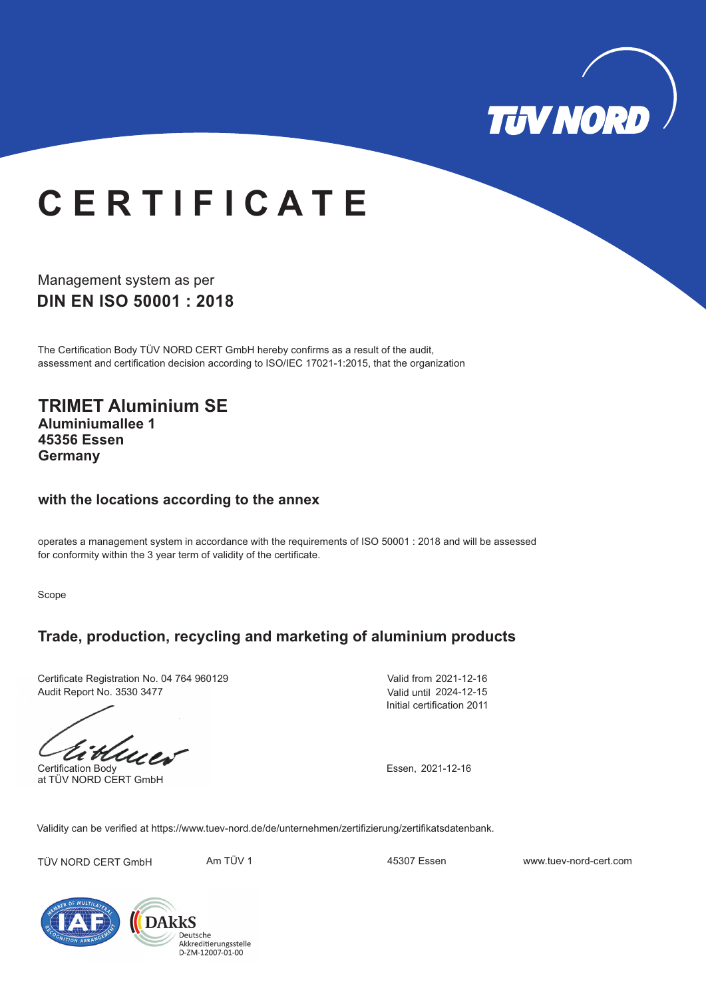

# **C E R T I F I C A T E**

## **DIN EN ISO 50001 : 2018** Management system as per

The Certification Body TÜV NORD CERT GmbH hereby confirms as a result of the audit, assessment and certification decision according to ISO/IEC 17021-1:2015, that the organization

### **TRIMET Aluminium SE Aluminiumallee 1 45356 Essen Germany**

#### **with the locations according to the annex**

operates a management system in accordance with the requirements of ISO 50001 : 2018 and will be assessed for conformity within the 3 year term of validity of the certificate.

Scope

## **Trade, production, recycling and marketing of aluminium products**

Certificate Registration No. 04 764 960129 Audit Report No. 3530 3477

Certification Body at TÜV NORD CERT GmbH

Valid from 2021-12-16 Valid until 2024-12-15 Initial certification 2011

Essen, 2021-12-16

Validity can be verified at https://www.tuev-nord.de/de/unternehmen/zertifizierung/zertifikatsdatenbank.

TÜV NORD CERT GmbH Am TÜV 1 45307 Essen www.tuev-nord-cert.com